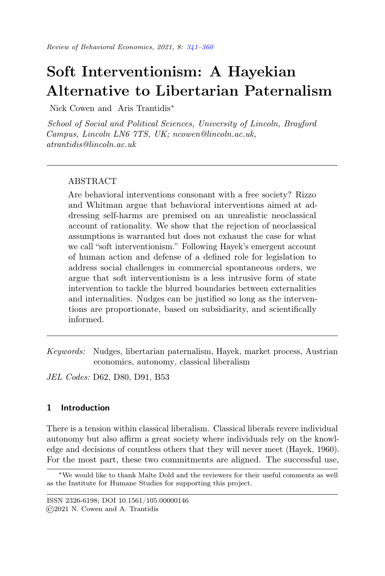# <span id="page-0-0"></span>Soft Interventionism: A Hayekian Alternative to Libertarian Paternalism

Nick Cowen and Aris Trantidis<sup>∗</sup>

School of Social and Political Sciences, University of Lincoln, Brayford Campus, Lincoln LN6 7TS, UK; ncowen@lincoln.ac.uk, atrantidis@lincoln.ac.uk

## ABSTRACT

Are behavioral interventions consonant with a free society? Rizzo and Whitman argue that behavioral interventions aimed at addressing self-harms are premised on an unrealistic neoclassical account of rationality. We show that the rejection of neoclassical assumptions is warranted but does not exhaust the case for what we call "soft interventionism." Following Hayek's emergent account of human action and defense of a defined role for legislation to address social challenges in commercial spontaneous orders, we argue that soft interventionism is a less intrusive form of state intervention to tackle the blurred boundaries between externalities and internalities. Nudges can be justified so long as the interventions are proportionate, based on subsidiarity, and scientifically informed.

Keywords: Nudges, libertarian paternalism, Hayek, market process, Austrian economics, autonomy, classical liberalism

JEL Codes: D62, D80, D91, B53

## 1 Introduction

There is a tension within classical liberalism. Classical liberals revere individual autonomy but also affirm a great society where individuals rely on the knowledge and decisions of countless others that they will never meet (Hayek, 1960). For the most part, these two commitments are aligned. The successful use,

<sup>∗</sup>We would like to thank Malte Dold and the reviewers for their useful comments as well as the Institute for Humane Studies for supporting this project.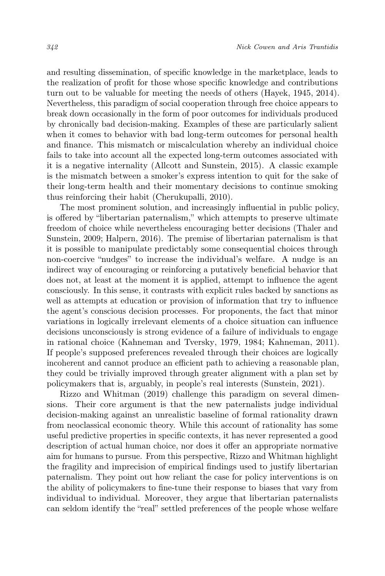and resulting dissemination, of specific knowledge in the marketplace, leads to the realization of profit for those whose specific knowledge and contributions turn out to be valuable for meeting the needs of others (Hayek, 1945, 2014). Nevertheless, this paradigm of social cooperation through free choice appears to break down occasionally in the form of poor outcomes for individuals produced by chronically bad decision-making. Examples of these are particularly salient when it comes to behavior with bad long-term outcomes for personal health and finance. This mismatch or miscalculation whereby an individual choice fails to take into account all the expected long-term outcomes associated with it is a negative internality (Allcott and Sunstein, 2015). A classic example is the mismatch between a smoker's express intention to quit for the sake of their long-term health and their momentary decisions to continue smoking thus reinforcing their habit (Cherukupalli, 2010).

The most prominent solution, and increasingly influential in public policy, is offered by "libertarian paternalism," which attempts to preserve ultimate freedom of choice while nevertheless encouraging better decisions (Thaler and Sunstein, 2009; Halpern, 2016). The premise of libertarian paternalism is that it is possible to manipulate predictably some consequential choices through non-coercive "nudges" to increase the individual's welfare. A nudge is an indirect way of encouraging or reinforcing a putatively beneficial behavior that does not, at least at the moment it is applied, attempt to influence the agent consciously. In this sense, it contrasts with explicit rules backed by sanctions as well as attempts at education or provision of information that try to influence the agent's conscious decision processes. For proponents, the fact that minor variations in logically irrelevant elements of a choice situation can influence decisions unconsciously is strong evidence of a failure of individuals to engage in rational choice (Kahneman and Tversky, 1979, 1984; Kahneman, 2011). If people's supposed preferences revealed through their choices are logically incoherent and cannot produce an efficient path to achieving a reasonable plan, they could be trivially improved through greater alignment with a plan set by policymakers that is, arguably, in people's real interests (Sunstein, 2021).

Rizzo and Whitman (2019) challenge this paradigm on several dimensions. Their core argument is that the new paternalists judge individual decision-making against an unrealistic baseline of formal rationality drawn from neoclassical economic theory. While this account of rationality has some useful predictive properties in specific contexts, it has never represented a good description of actual human choice, nor does it offer an appropriate normative aim for humans to pursue. From this perspective, Rizzo and Whitman highlight the fragility and imprecision of empirical findings used to justify libertarian paternalism. They point out how reliant the case for policy interventions is on the ability of policymakers to fine-tune their response to biases that vary from individual to individual. Moreover, they argue that libertarian paternalists can seldom identify the "real" settled preferences of the people whose welfare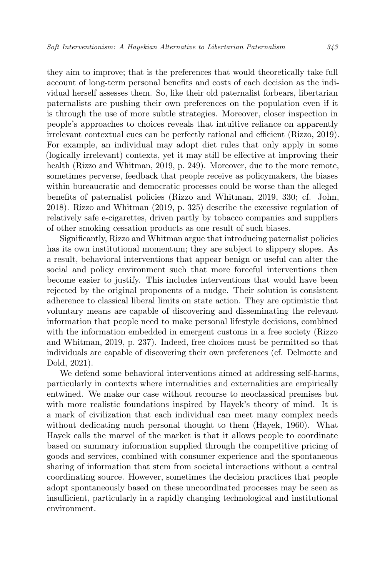they aim to improve; that is the preferences that would theoretically take full account of long-term personal benefits and costs of each decision as the individual herself assesses them. So, like their old paternalist forbears, libertarian paternalists are pushing their own preferences on the population even if it is through the use of more subtle strategies. Moreover, closer inspection in people's approaches to choices reveals that intuitive reliance on apparently irrelevant contextual cues can be perfectly rational and efficient (Rizzo, 2019). For example, an individual may adopt diet rules that only apply in some (logically irrelevant) contexts, yet it may still be effective at improving their health (Rizzo and Whitman, 2019, p. 249). Moreover, due to the more remote, sometimes perverse, feedback that people receive as policymakers, the biases within bureaucratic and democratic processes could be worse than the alleged benefits of paternalist policies (Rizzo and Whitman, 2019, 330; cf. John, 2018). Rizzo and Whitman (2019, p. 325) describe the excessive regulation of relatively safe e-cigarettes, driven partly by tobacco companies and suppliers of other smoking cessation products as one result of such biases.

Significantly, Rizzo and Whitman argue that introducing paternalist policies has its own institutional momentum; they are subject to slippery slopes. As a result, behavioral interventions that appear benign or useful can alter the social and policy environment such that more forceful interventions then become easier to justify. This includes interventions that would have been rejected by the original proponents of a nudge. Their solution is consistent adherence to classical liberal limits on state action. They are optimistic that voluntary means are capable of discovering and disseminating the relevant information that people need to make personal lifestyle decisions, combined with the information embedded in emergent customs in a free society (Rizzo and Whitman, 2019, p. 237). Indeed, free choices must be permitted so that individuals are capable of discovering their own preferences (cf. Delmotte and Dold, 2021).

We defend some behavioral interventions aimed at addressing self-harms, particularly in contexts where internalities and externalities are empirically entwined. We make our case without recourse to neoclassical premises but with more realistic foundations inspired by Hayek's theory of mind. It is a mark of civilization that each individual can meet many complex needs without dedicating much personal thought to them (Hayek, 1960). What Hayek calls the marvel of the market is that it allows people to coordinate based on summary information supplied through the competitive pricing of goods and services, combined with consumer experience and the spontaneous sharing of information that stem from societal interactions without a central coordinating source. However, sometimes the decision practices that people adopt spontaneously based on these uncoordinated processes may be seen as insufficient, particularly in a rapidly changing technological and institutional environment.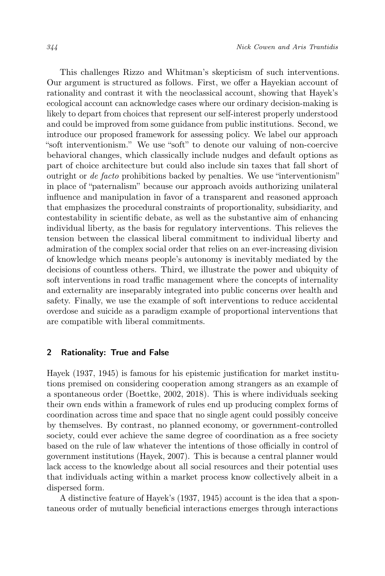This challenges Rizzo and Whitman's skepticism of such interventions. Our argument is structured as follows. First, we offer a Hayekian account of rationality and contrast it with the neoclassical account, showing that Hayek's ecological account can acknowledge cases where our ordinary decision-making is likely to depart from choices that represent our self-interest properly understood and could be improved from some guidance from public institutions. Second, we introduce our proposed framework for assessing policy. We label our approach "soft interventionism." We use "soft" to denote our valuing of non-coercive behavioral changes, which classically include nudges and default options as part of choice architecture but could also include sin taxes that fall short of outright or de facto prohibitions backed by penalties. We use "interventionism" in place of "paternalism" because our approach avoids authorizing unilateral influence and manipulation in favor of a transparent and reasoned approach that emphasizes the procedural constraints of proportionality, subsidiarity, and contestability in scientific debate, as well as the substantive aim of enhancing individual liberty, as the basis for regulatory interventions. This relieves the tension between the classical liberal commitment to individual liberty and admiration of the complex social order that relies on an ever-increasing division of knowledge which means people's autonomy is inevitably mediated by the decisions of countless others. Third, we illustrate the power and ubiquity of soft interventions in road traffic management where the concepts of internality and externality are inseparably integrated into public concerns over health and safety. Finally, we use the example of soft interventions to reduce accidental overdose and suicide as a paradigm example of proportional interventions that are compatible with liberal commitments.

## 2 Rationality: True and False

Hayek (1937, 1945) is famous for his epistemic justification for market institutions premised on considering cooperation among strangers as an example of a spontaneous order (Boettke, 2002, 2018). This is where individuals seeking their own ends within a framework of rules end up producing complex forms of coordination across time and space that no single agent could possibly conceive by themselves. By contrast, no planned economy, or government-controlled society, could ever achieve the same degree of coordination as a free society based on the rule of law whatever the intentions of those officially in control of government institutions (Hayek, 2007). This is because a central planner would lack access to the knowledge about all social resources and their potential uses that individuals acting within a market process know collectively albeit in a dispersed form.

A distinctive feature of Hayek's (1937, 1945) account is the idea that a spontaneous order of mutually beneficial interactions emerges through interactions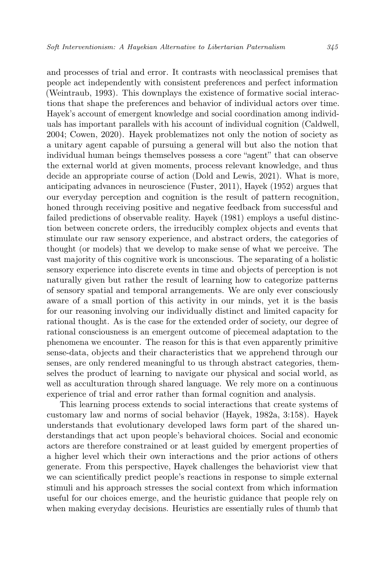and processes of trial and error. It contrasts with neoclassical premises that people act independently with consistent preferences and perfect information (Weintraub, 1993). This downplays the existence of formative social interactions that shape the preferences and behavior of individual actors over time. Hayek's account of emergent knowledge and social coordination among individuals has important parallels with his account of individual cognition (Caldwell, 2004; Cowen, 2020). Hayek problematizes not only the notion of society as a unitary agent capable of pursuing a general will but also the notion that individual human beings themselves possess a core "agent" that can observe the external world at given moments, process relevant knowledge, and thus decide an appropriate course of action (Dold and Lewis, 2021). What is more, anticipating advances in neuroscience (Fuster, 2011), Hayek (1952) argues that our everyday perception and cognition is the result of pattern recognition, honed through receiving positive and negative feedback from successful and failed predictions of observable reality. Hayek (1981) employs a useful distinction between concrete orders, the irreducibly complex objects and events that stimulate our raw sensory experience, and abstract orders, the categories of thought (or models) that we develop to make sense of what we perceive. The vast majority of this cognitive work is unconscious. The separating of a holistic sensory experience into discrete events in time and objects of perception is not naturally given but rather the result of learning how to categorize patterns of sensory spatial and temporal arrangements. We are only ever consciously aware of a small portion of this activity in our minds, yet it is the basis for our reasoning involving our individually distinct and limited capacity for rational thought. As is the case for the extended order of society, our degree of rational consciousness is an emergent outcome of piecemeal adaptation to the phenomena we encounter. The reason for this is that even apparently primitive sense-data, objects and their characteristics that we apprehend through our senses, are only rendered meaningful to us through abstract categories, themselves the product of learning to navigate our physical and social world, as well as acculturation through shared language. We rely more on a continuous experience of trial and error rather than formal cognition and analysis.

This learning process extends to social interactions that create systems of customary law and norms of social behavior (Hayek, 1982a, 3:158). Hayek understands that evolutionary developed laws form part of the shared understandings that act upon people's behavioral choices. Social and economic actors are therefore constrained or at least guided by emergent properties of a higher level which their own interactions and the prior actions of others generate. From this perspective, Hayek challenges the behaviorist view that we can scientifically predict people's reactions in response to simple external stimuli and his approach stresses the social context from which information useful for our choices emerge, and the heuristic guidance that people rely on when making everyday decisions. Heuristics are essentially rules of thumb that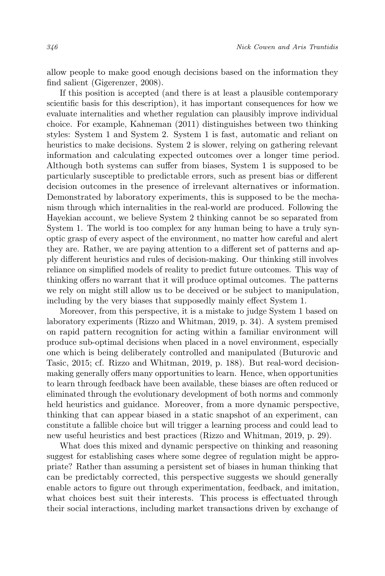allow people to make good enough decisions based on the information they find salient (Gigerenzer, 2008).

If this position is accepted (and there is at least a plausible contemporary scientific basis for this description), it has important consequences for how we evaluate internalities and whether regulation can plausibly improve individual choice. For example, Kahneman (2011) distinguishes between two thinking styles: System 1 and System 2. System 1 is fast, automatic and reliant on heuristics to make decisions. System 2 is slower, relying on gathering relevant information and calculating expected outcomes over a longer time period. Although both systems can suffer from biases, System 1 is supposed to be particularly susceptible to predictable errors, such as present bias or different decision outcomes in the presence of irrelevant alternatives or information. Demonstrated by laboratory experiments, this is supposed to be the mechanism through which internalities in the real-world are produced. Following the Hayekian account, we believe System 2 thinking cannot be so separated from System 1. The world is too complex for any human being to have a truly synoptic grasp of every aspect of the environment, no matter how careful and alert they are. Rather, we are paying attention to a different set of patterns and apply different heuristics and rules of decision-making. Our thinking still involves reliance on simplified models of reality to predict future outcomes. This way of thinking offers no warrant that it will produce optimal outcomes. The patterns we rely on might still allow us to be deceived or be subject to manipulation, including by the very biases that supposedly mainly effect System 1.

Moreover, from this perspective, it is a mistake to judge System 1 based on laboratory experiments (Rizzo and Whitman, 2019, p. 34). A system premised on rapid pattern recognition for acting within a familiar environment will produce sub-optimal decisions when placed in a novel environment, especially one which is being deliberately controlled and manipulated (Buturovic and Tasic, 2015; cf. Rizzo and Whitman, 2019, p. 188). But real-word decisionmaking generally offers many opportunities to learn. Hence, when opportunities to learn through feedback have been available, these biases are often reduced or eliminated through the evolutionary development of both norms and commonly held heuristics and guidance. Moreover, from a more dynamic perspective, thinking that can appear biased in a static snapshot of an experiment, can constitute a fallible choice but will trigger a learning process and could lead to new useful heuristics and best practices (Rizzo and Whitman, 2019, p. 29).

What does this mixed and dynamic perspective on thinking and reasoning suggest for establishing cases where some degree of regulation might be appropriate? Rather than assuming a persistent set of biases in human thinking that can be predictably corrected, this perspective suggests we should generally enable actors to figure out through experimentation, feedback, and imitation, what choices best suit their interests. This process is effectuated through their social interactions, including market transactions driven by exchange of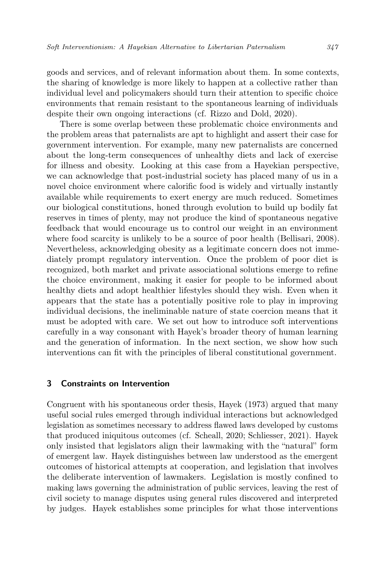goods and services, and of relevant information about them. In some contexts, the sharing of knowledge is more likely to happen at a collective rather than individual level and policymakers should turn their attention to specific choice environments that remain resistant to the spontaneous learning of individuals despite their own ongoing interactions (cf. Rizzo and Dold, 2020).

There is some overlap between these problematic choice environments and the problem areas that paternalists are apt to highlight and assert their case for government intervention. For example, many new paternalists are concerned about the long-term consequences of unhealthy diets and lack of exercise for illness and obesity. Looking at this case from a Hayekian perspective, we can acknowledge that post-industrial society has placed many of us in a novel choice environment where calorific food is widely and virtually instantly available while requirements to exert energy are much reduced. Sometimes our biological constitutions, honed through evolution to build up bodily fat reserves in times of plenty, may not produce the kind of spontaneous negative feedback that would encourage us to control our weight in an environment where food scarcity is unlikely to be a source of poor health (Bellisari, 2008). Nevertheless, acknowledging obesity as a legitimate concern does not immediately prompt regulatory intervention. Once the problem of poor diet is recognized, both market and private associational solutions emerge to refine the choice environment, making it easier for people to be informed about healthy diets and adopt healthier lifestyles should they wish. Even when it appears that the state has a potentially positive role to play in improving individual decisions, the ineliminable nature of state coercion means that it must be adopted with care. We set out how to introduce soft interventions carefully in a way consonant with Hayek's broader theory of human learning and the generation of information. In the next section, we show how such interventions can fit with the principles of liberal constitutional government.

## 3 Constraints on Intervention

Congruent with his spontaneous order thesis, Hayek (1973) argued that many useful social rules emerged through individual interactions but acknowledged legislation as sometimes necessary to address flawed laws developed by customs that produced iniquitous outcomes (cf. Scheall, 2020; Schliesser, 2021). Hayek only insisted that legislators align their lawmaking with the "natural" form of emergent law. Hayek distinguishes between law understood as the emergent outcomes of historical attempts at cooperation, and legislation that involves the deliberate intervention of lawmakers. Legislation is mostly confined to making laws governing the administration of public services, leaving the rest of civil society to manage disputes using general rules discovered and interpreted by judges. Hayek establishes some principles for what those interventions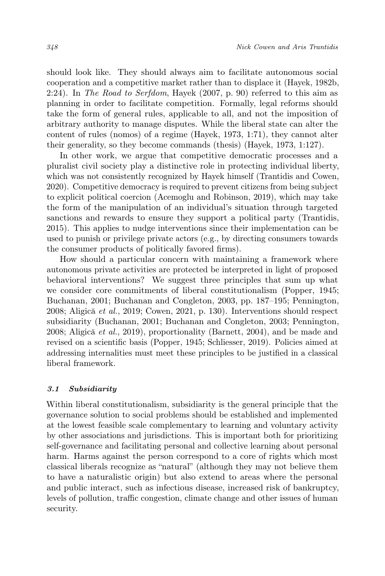should look like. They should always aim to facilitate autonomous social cooperation and a competitive market rather than to displace it (Hayek, 1982b, 2:24). In The Road to Serfdom, Hayek (2007, p. 90) referred to this aim as planning in order to facilitate competition. Formally, legal reforms should take the form of general rules, applicable to all, and not the imposition of arbitrary authority to manage disputes. While the liberal state can alter the content of rules (nomos) of a regime (Hayek, 1973, 1:71), they cannot alter their generality, so they become commands (thesis) (Hayek, 1973, 1:127).

In other work, we argue that competitive democratic processes and a pluralist civil society play a distinctive role in protecting individual liberty, which was not consistently recognized by Hayek himself (Trantidis and Cowen, 2020). Competitive democracy is required to prevent citizens from being subject to explicit political coercion (Acemoglu and Robinson, 2019), which may take the form of the manipulation of an individual's situation through targeted sanctions and rewards to ensure they support a political party (Trantidis, 2015). This applies to nudge interventions since their implementation can be used to punish or privilege private actors (e.g., by directing consumers towards the consumer products of politically favored firms).

How should a particular concern with maintaining a framework where autonomous private activities are protected be interpreted in light of proposed behavioral interventions? We suggest three principles that sum up what we consider core commitments of liberal constitutionalism (Popper, 1945; Buchanan, 2001; Buchanan and Congleton, 2003, pp. 187–195; Pennington, 2008; Aligică et al., 2019; Cowen, 2021, p. 130). Interventions should respect subsidiarity (Buchanan, 2001; Buchanan and Congleton, 2003; Pennington, 2008; Aligică et al., 2019), proportionality (Barnett, 2004), and be made and revised on a scientific basis (Popper, 1945; Schliesser, 2019). Policies aimed at addressing internalities must meet these principles to be justified in a classical liberal framework.

#### 3.1 Subsidiarity

Within liberal constitutionalism, subsidiarity is the general principle that the governance solution to social problems should be established and implemented at the lowest feasible scale complementary to learning and voluntary activity by other associations and jurisdictions. This is important both for prioritizing self-governance and facilitating personal and collective learning about personal harm. Harms against the person correspond to a core of rights which most classical liberals recognize as "natural" (although they may not believe them to have a naturalistic origin) but also extend to areas where the personal and public interact, such as infectious disease, increased risk of bankruptcy, levels of pollution, traffic congestion, climate change and other issues of human security.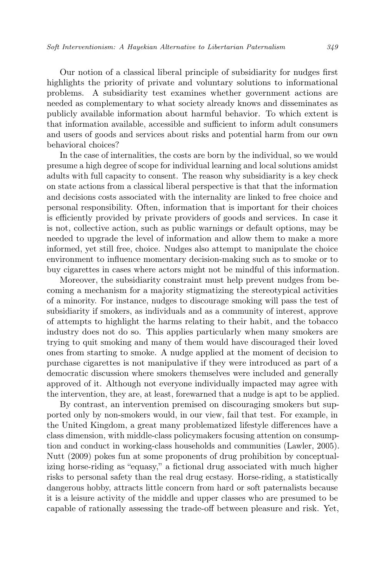Our notion of a classical liberal principle of subsidiarity for nudges first highlights the priority of private and voluntary solutions to informational problems. A subsidiarity test examines whether government actions are needed as complementary to what society already knows and disseminates as publicly available information about harmful behavior. To which extent is that information available, accessible and sufficient to inform adult consumers and users of goods and services about risks and potential harm from our own behavioral choices?

In the case of internalities, the costs are born by the individual, so we would presume a high degree of scope for individual learning and local solutions amidst adults with full capacity to consent. The reason why subsidiarity is a key check on state actions from a classical liberal perspective is that that the information and decisions costs associated with the internality are linked to free choice and personal responsibility. Often, information that is important for their choices is efficiently provided by private providers of goods and services. In case it is not, collective action, such as public warnings or default options, may be needed to upgrade the level of information and allow them to make a more informed, yet still free, choice. Nudges also attempt to manipulate the choice environment to influence momentary decision-making such as to smoke or to buy cigarettes in cases where actors might not be mindful of this information.

Moreover, the subsidiarity constraint must help prevent nudges from becoming a mechanism for a majority stigmatizing the stereotypical activities of a minority. For instance, nudges to discourage smoking will pass the test of subsidiarity if smokers, as individuals and as a community of interest, approve of attempts to highlight the harms relating to their habit, and the tobacco industry does not do so. This applies particularly when many smokers are trying to quit smoking and many of them would have discouraged their loved ones from starting to smoke. A nudge applied at the moment of decision to purchase cigarettes is not manipulative if they were introduced as part of a democratic discussion where smokers themselves were included and generally approved of it. Although not everyone individually impacted may agree with the intervention, they are, at least, forewarned that a nudge is apt to be applied.

By contrast, an intervention premised on discouraging smokers but supported only by non-smokers would, in our view, fail that test. For example, in the United Kingdom, a great many problematized lifestyle differences have a class dimension, with middle-class policymakers focusing attention on consumption and conduct in working-class households and communities (Lawler, 2005). Nutt (2009) pokes fun at some proponents of drug prohibition by conceptualizing horse-riding as "equasy," a fictional drug associated with much higher risks to personal safety than the real drug ecstasy. Horse-riding, a statistically dangerous hobby, attracts little concern from hard or soft paternalists because it is a leisure activity of the middle and upper classes who are presumed to be capable of rationally assessing the trade-off between pleasure and risk. Yet,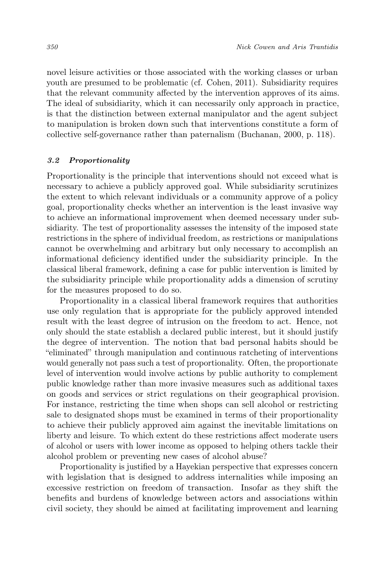novel leisure activities or those associated with the working classes or urban youth are presumed to be problematic (cf. Cohen, 2011). Subsidiarity requires that the relevant community affected by the intervention approves of its aims. The ideal of subsidiarity, which it can necessarily only approach in practice, is that the distinction between external manipulator and the agent subject to manipulation is broken down such that interventions constitute a form of collective self-governance rather than paternalism (Buchanan, 2000, p. 118).

#### 3.2 Proportionality

Proportionality is the principle that interventions should not exceed what is necessary to achieve a publicly approved goal. While subsidiarity scrutinizes the extent to which relevant individuals or a community approve of a policy goal, proportionality checks whether an intervention is the least invasive way to achieve an informational improvement when deemed necessary under subsidiarity. The test of proportionality assesses the intensity of the imposed state restrictions in the sphere of individual freedom, as restrictions or manipulations cannot be overwhelming and arbitrary but only necessary to accomplish an informational deficiency identified under the subsidiarity principle. In the classical liberal framework, defining a case for public intervention is limited by the subsidiarity principle while proportionality adds a dimension of scrutiny for the measures proposed to do so.

Proportionality in a classical liberal framework requires that authorities use only regulation that is appropriate for the publicly approved intended result with the least degree of intrusion on the freedom to act. Hence, not only should the state establish a declared public interest, but it should justify the degree of intervention. The notion that bad personal habits should be "eliminated" through manipulation and continuous ratcheting of interventions would generally not pass such a test of proportionality. Often, the proportionate level of intervention would involve actions by public authority to complement public knowledge rather than more invasive measures such as additional taxes on goods and services or strict regulations on their geographical provision. For instance, restricting the time when shops can sell alcohol or restricting sale to designated shops must be examined in terms of their proportionality to achieve their publicly approved aim against the inevitable limitations on liberty and leisure. To which extent do these restrictions affect moderate users of alcohol or users with lower income as opposed to helping others tackle their alcohol problem or preventing new cases of alcohol abuse?

Proportionality is justified by a Hayekian perspective that expresses concern with legislation that is designed to address internalities while imposing an excessive restriction on freedom of transaction. Insofar as they shift the benefits and burdens of knowledge between actors and associations within civil society, they should be aimed at facilitating improvement and learning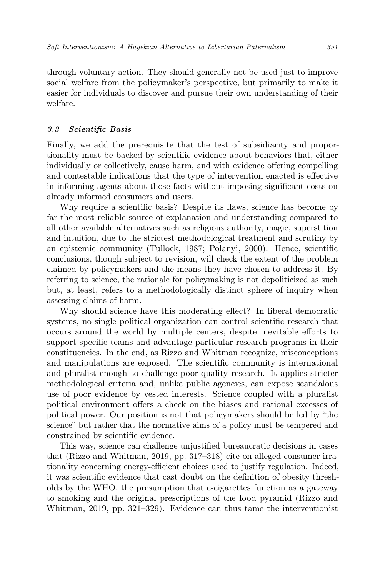through voluntary action. They should generally not be used just to improve social welfare from the policymaker's perspective, but primarily to make it easier for individuals to discover and pursue their own understanding of their welfare.

#### 3.3 Scientific Basis

Finally, we add the prerequisite that the test of subsidiarity and proportionality must be backed by scientific evidence about behaviors that, either individually or collectively, cause harm, and with evidence offering compelling and contestable indications that the type of intervention enacted is effective in informing agents about those facts without imposing significant costs on already informed consumers and users.

Why require a scientific basis? Despite its flaws, science has become by far the most reliable source of explanation and understanding compared to all other available alternatives such as religious authority, magic, superstition and intuition, due to the strictest methodological treatment and scrutiny by an epistemic community (Tullock, 1987; Polanyi, 2000). Hence, scientific conclusions, though subject to revision, will check the extent of the problem claimed by policymakers and the means they have chosen to address it. By referring to science, the rationale for policymaking is not depoliticized as such but, at least, refers to a methodologically distinct sphere of inquiry when assessing claims of harm.

Why should science have this moderating effect? In liberal democratic systems, no single political organization can control scientific research that occurs around the world by multiple centers, despite inevitable efforts to support specific teams and advantage particular research programs in their constituencies. In the end, as Rizzo and Whitman recognize, misconceptions and manipulations are exposed. The scientific community is international and pluralist enough to challenge poor-quality research. It applies stricter methodological criteria and, unlike public agencies, can expose scandalous use of poor evidence by vested interests. Science coupled with a pluralist political environment offers a check on the biases and rational excesses of political power. Our position is not that policymakers should be led by "the science" but rather that the normative aims of a policy must be tempered and constrained by scientific evidence.

This way, science can challenge unjustified bureaucratic decisions in cases that (Rizzo and Whitman, 2019, pp. 317–318) cite on alleged consumer irrationality concerning energy-efficient choices used to justify regulation. Indeed, it was scientific evidence that cast doubt on the definition of obesity thresholds by the WHO, the presumption that e-cigarettes function as a gateway to smoking and the original prescriptions of the food pyramid (Rizzo and Whitman, 2019, pp. 321–329). Evidence can thus tame the interventionist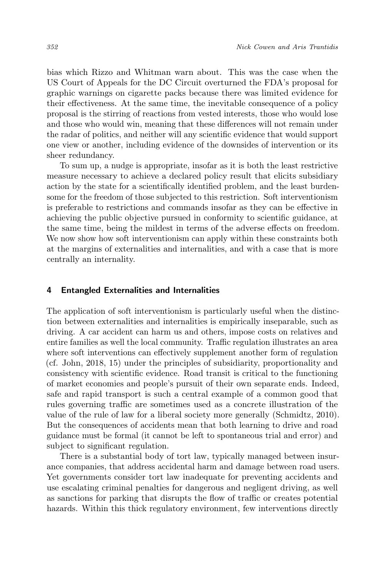bias which Rizzo and Whitman warn about. This was the case when the US Court of Appeals for the DC Circuit overturned the FDA's proposal for graphic warnings on cigarette packs because there was limited evidence for their effectiveness. At the same time, the inevitable consequence of a policy proposal is the stirring of reactions from vested interests, those who would lose and those who would win, meaning that these differences will not remain under the radar of politics, and neither will any scientific evidence that would support one view or another, including evidence of the downsides of intervention or its sheer redundancy.

To sum up, a nudge is appropriate, insofar as it is both the least restrictive measure necessary to achieve a declared policy result that elicits subsidiary action by the state for a scientifically identified problem, and the least burdensome for the freedom of those subjected to this restriction. Soft interventionism is preferable to restrictions and commands insofar as they can be effective in achieving the public objective pursued in conformity to scientific guidance, at the same time, being the mildest in terms of the adverse effects on freedom. We now show how soft interventionism can apply within these constraints both at the margins of externalities and internalities, and with a case that is more centrally an internality.

#### 4 Entangled Externalities and Internalities

The application of soft interventionism is particularly useful when the distinction between externalities and internalities is empirically inseparable, such as driving. A car accident can harm us and others, impose costs on relatives and entire families as well the local community. Traffic regulation illustrates an area where soft interventions can effectively supplement another form of regulation (cf. John, 2018, 15) under the principles of subsidiarity, proportionality and consistency with scientific evidence. Road transit is critical to the functioning of market economies and people's pursuit of their own separate ends. Indeed, safe and rapid transport is such a central example of a common good that rules governing traffic are sometimes used as a concrete illustration of the value of the rule of law for a liberal society more generally (Schmidtz, 2010). But the consequences of accidents mean that both learning to drive and road guidance must be formal (it cannot be left to spontaneous trial and error) and subject to significant regulation.

There is a substantial body of tort law, typically managed between insurance companies, that address accidental harm and damage between road users. Yet governments consider tort law inadequate for preventing accidents and use escalating criminal penalties for dangerous and negligent driving, as well as sanctions for parking that disrupts the flow of traffic or creates potential hazards. Within this thick regulatory environment, few interventions directly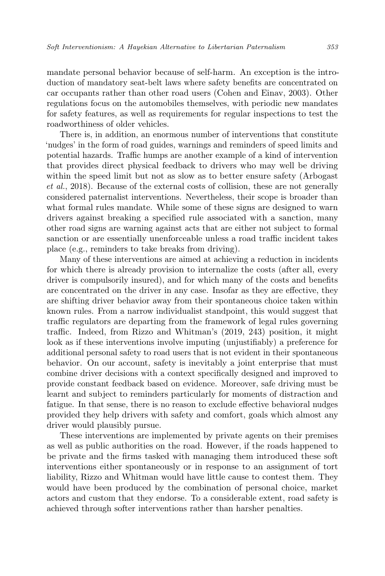mandate personal behavior because of self-harm. An exception is the introduction of mandatory seat-belt laws where safety benefits are concentrated on car occupants rather than other road users (Cohen and Einav, 2003). Other regulations focus on the automobiles themselves, with periodic new mandates for safety features, as well as requirements for regular inspections to test the roadworthiness of older vehicles.

There is, in addition, an enormous number of interventions that constitute 'nudges' in the form of road guides, warnings and reminders of speed limits and potential hazards. Traffic humps are another example of a kind of intervention that provides direct physical feedback to drivers who may well be driving within the speed limit but not as slow as to better ensure safety (Arbogast et al., 2018). Because of the external costs of collision, these are not generally considered paternalist interventions. Nevertheless, their scope is broader than what formal rules mandate. While some of these signs are designed to warn drivers against breaking a specified rule associated with a sanction, many other road signs are warning against acts that are either not subject to formal sanction or are essentially unenforceable unless a road traffic incident takes place (e.g., reminders to take breaks from driving).

Many of these interventions are aimed at achieving a reduction in incidents for which there is already provision to internalize the costs (after all, every driver is compulsorily insured), and for which many of the costs and benefits are concentrated on the driver in any case. Insofar as they are effective, they are shifting driver behavior away from their spontaneous choice taken within known rules. From a narrow individualist standpoint, this would suggest that traffic regulators are departing from the framework of legal rules governing traffic. Indeed, from Rizzo and Whitman's (2019, 243) position, it might look as if these interventions involve imputing (unjustifiably) a preference for additional personal safety to road users that is not evident in their spontaneous behavior. On our account, safety is inevitably a joint enterprise that must combine driver decisions with a context specifically designed and improved to provide constant feedback based on evidence. Moreover, safe driving must be learnt and subject to reminders particularly for moments of distraction and fatigue. In that sense, there is no reason to exclude effective behavioral nudges provided they help drivers with safety and comfort, goals which almost any driver would plausibly pursue.

These interventions are implemented by private agents on their premises as well as public authorities on the road. However, if the roads happened to be private and the firms tasked with managing them introduced these soft interventions either spontaneously or in response to an assignment of tort liability, Rizzo and Whitman would have little cause to contest them. They would have been produced by the combination of personal choice, market actors and custom that they endorse. To a considerable extent, road safety is achieved through softer interventions rather than harsher penalties.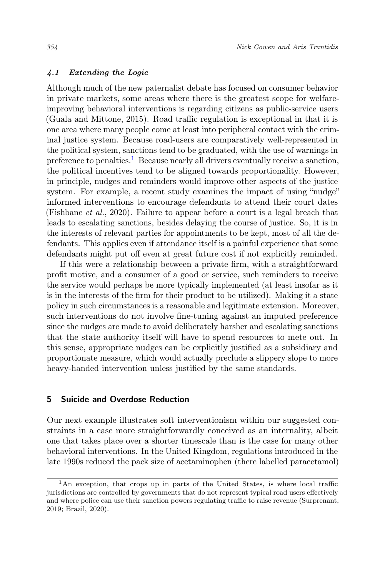#### 4.1 Extending the Logic

Although much of the new paternalist debate has focused on consumer behavior in private markets, some areas where there is the greatest scope for welfareimproving behavioral interventions is regarding citizens as public-service users (Guala and Mittone, 2015). Road traffic regulation is exceptional in that it is one area where many people come at least into peripheral contact with the criminal justice system. Because road-users are comparatively well-represented in the political system, sanctions tend to be graduated, with the use of warnings in preference to penalties.<sup>[1](#page-13-0)</sup> Because nearly all drivers eventually receive a sanction, the political incentives tend to be aligned towards proportionality. However, in principle, nudges and reminders would improve other aspects of the justice system. For example, a recent study examines the impact of using "nudge" informed interventions to encourage defendants to attend their court dates (Fishbane *et al.*, 2020). Failure to appear before a court is a legal breach that leads to escalating sanctions, besides delaying the course of justice. So, it is in the interests of relevant parties for appointments to be kept, most of all the defendants. This applies even if attendance itself is a painful experience that some defendants might put off even at great future cost if not explicitly reminded.

If this were a relationship between a private firm, with a straightforward profit motive, and a consumer of a good or service, such reminders to receive the service would perhaps be more typically implemented (at least insofar as it is in the interests of the firm for their product to be utilized). Making it a state policy in such circumstances is a reasonable and legitimate extension. Moreover, such interventions do not involve fine-tuning against an imputed preference since the nudges are made to avoid deliberately harsher and escalating sanctions that the state authority itself will have to spend resources to mete out. In this sense, appropriate nudges can be explicitly justified as a subsidiary and proportionate measure, which would actually preclude a slippery slope to more heavy-handed intervention unless justified by the same standards.

## 5 Suicide and Overdose Reduction

Our next example illustrates soft interventionism within our suggested constraints in a case more straightforwardly conceived as an internality, albeit one that takes place over a shorter timescale than is the case for many other behavioral interventions. In the United Kingdom, regulations introduced in the late 1990s reduced the pack size of acetaminophen (there labelled paracetamol)

<span id="page-13-0"></span><sup>&</sup>lt;sup>1</sup>An exception, that crops up in parts of the United States, is where local traffic jurisdictions are controlled by governments that do not represent typical road users effectively and where police can use their sanction powers regulating traffic to raise revenue (Surprenant, 2019; Brazil, 2020).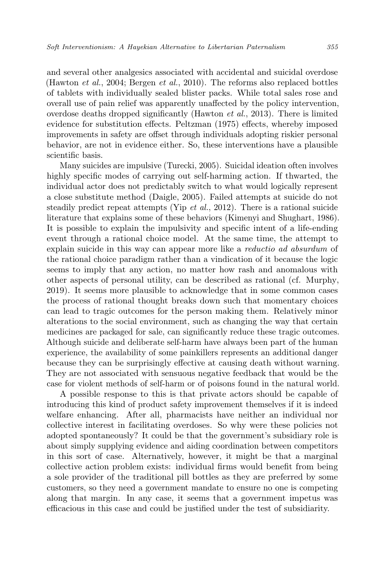and several other analgesics associated with accidental and suicidal overdose (Hawton *et al.*, 2004; Bergen *et al.*, 2010). The reforms also replaced bottles of tablets with individually sealed blister packs. While total sales rose and overall use of pain relief was apparently unaffected by the policy intervention, overdose deaths dropped significantly (Hawton et al., 2013). There is limited evidence for substitution effects. Peltzman (1975) effects, whereby imposed improvements in safety are offset through individuals adopting riskier personal behavior, are not in evidence either. So, these interventions have a plausible scientific basis.

Many suicides are impulsive (Turecki, 2005). Suicidal ideation often involves highly specific modes of carrying out self-harming action. If thwarted, the individual actor does not predictably switch to what would logically represent a close substitute method (Daigle, 2005). Failed attempts at suicide do not steadily predict repeat attempts (Yip et al., 2012). There is a rational suicide literature that explains some of these behaviors (Kimenyi and Shughart, 1986). It is possible to explain the impulsivity and specific intent of a life-ending event through a rational choice model. At the same time, the attempt to explain suicide in this way can appear more like a reductio ad absurdum of the rational choice paradigm rather than a vindication of it because the logic seems to imply that any action, no matter how rash and anomalous with other aspects of personal utility, can be described as rational (cf. Murphy, 2019). It seems more plausible to acknowledge that in some common cases the process of rational thought breaks down such that momentary choices can lead to tragic outcomes for the person making them. Relatively minor alterations to the social environment, such as changing the way that certain medicines are packaged for sale, can significantly reduce these tragic outcomes. Although suicide and deliberate self-harm have always been part of the human experience, the availability of some painkillers represents an additional danger because they can be surprisingly effective at causing death without warning. They are not associated with sensuous negative feedback that would be the case for violent methods of self-harm or of poisons found in the natural world.

A possible response to this is that private actors should be capable of introducing this kind of product safety improvement themselves if it is indeed welfare enhancing. After all, pharmacists have neither an individual nor collective interest in facilitating overdoses. So why were these policies not adopted spontaneously? It could be that the government's subsidiary role is about simply supplying evidence and aiding coordination between competitors in this sort of case. Alternatively, however, it might be that a marginal collective action problem exists: individual firms would benefit from being a sole provider of the traditional pill bottles as they are preferred by some customers, so they need a government mandate to ensure no one is competing along that margin. In any case, it seems that a government impetus was efficacious in this case and could be justified under the test of subsidiarity.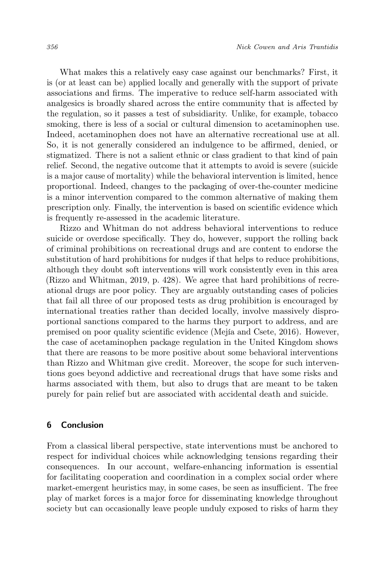What makes this a relatively easy case against our benchmarks? First, it is (or at least can be) applied locally and generally with the support of private associations and firms. The imperative to reduce self-harm associated with analgesics is broadly shared across the entire community that is affected by the regulation, so it passes a test of subsidiarity. Unlike, for example, tobacco smoking, there is less of a social or cultural dimension to acetaminophen use. Indeed, acetaminophen does not have an alternative recreational use at all. So, it is not generally considered an indulgence to be affirmed, denied, or stigmatized. There is not a salient ethnic or class gradient to that kind of pain relief. Second, the negative outcome that it attempts to avoid is severe (suicide is a major cause of mortality) while the behavioral intervention is limited, hence proportional. Indeed, changes to the packaging of over-the-counter medicine is a minor intervention compared to the common alternative of making them prescription only. Finally, the intervention is based on scientific evidence which is frequently re-assessed in the academic literature.

Rizzo and Whitman do not address behavioral interventions to reduce suicide or overdose specifically. They do, however, support the rolling back of criminal prohibitions on recreational drugs and are content to endorse the substitution of hard prohibitions for nudges if that helps to reduce prohibitions, although they doubt soft interventions will work consistently even in this area (Rizzo and Whitman, 2019, p. 428). We agree that hard prohibitions of recreational drugs are poor policy. They are arguably outstanding cases of policies that fail all three of our proposed tests as drug prohibition is encouraged by international treaties rather than decided locally, involve massively disproportional sanctions compared to the harms they purport to address, and are premised on poor quality scientific evidence (Mejía and Csete, 2016). However, the case of acetaminophen package regulation in the United Kingdom shows that there are reasons to be more positive about some behavioral interventions than Rizzo and Whitman give credit. Moreover, the scope for such interventions goes beyond addictive and recreational drugs that have some risks and harms associated with them, but also to drugs that are meant to be taken purely for pain relief but are associated with accidental death and suicide.

## 6 Conclusion

From a classical liberal perspective, state interventions must be anchored to respect for individual choices while acknowledging tensions regarding their consequences. In our account, welfare-enhancing information is essential for facilitating cooperation and coordination in a complex social order where market-emergent heuristics may, in some cases, be seen as insufficient. The free play of market forces is a major force for disseminating knowledge throughout society but can occasionally leave people unduly exposed to risks of harm they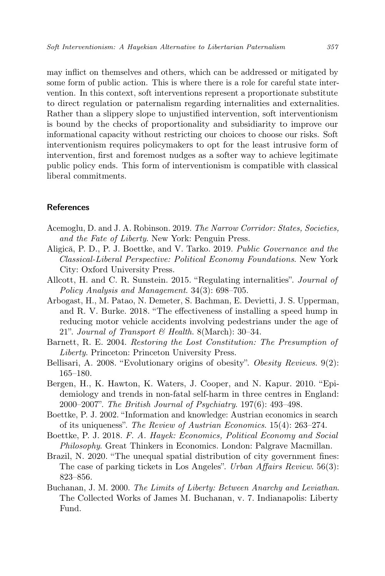may inflict on themselves and others, which can be addressed or mitigated by some form of public action. This is where there is a role for careful state intervention. In this context, soft interventions represent a proportionate substitute to direct regulation or paternalism regarding internalities and externalities. Rather than a slippery slope to unjustified intervention, soft interventionism is bound by the checks of proportionality and subsidiarity to improve our informational capacity without restricting our choices to choose our risks. Soft interventionism requires policymakers to opt for the least intrusive form of intervention, first and foremost nudges as a softer way to achieve legitimate public policy ends. This form of interventionism is compatible with classical liberal commitments.

## References

- Acemoglu, D. and J. A. Robinson. 2019. The Narrow Corridor: States, Societies, and the Fate of Liberty. New York: Penguin Press.
- Aligică, P. D., P. J. Boettke, and V. Tarko. 2019. Public Governance and the Classical-Liberal Perspective: Political Economy Foundations. New York City: Oxford University Press.
- Allcott, H. and C. R. Sunstein. 2015. "Regulating internalities". Journal of Policy Analysis and Management. 34(3): 698–705.
- Arbogast, H., M. Patao, N. Demeter, S. Bachman, E. Devietti, J. S. Upperman, and R. V. Burke. 2018. "The effectiveness of installing a speed hump in reducing motor vehicle accidents involving pedestrians under the age of 21". Journal of Transport & Health. 8(March): 30–34.
- Barnett, R. E. 2004. Restoring the Lost Constitution: The Presumption of Liberty. Princeton: Princeton University Press.
- Bellisari, A. 2008. "Evolutionary origins of obesity". Obesity Reviews. 9(2): 165–180.
- Bergen, H., K. Hawton, K. Waters, J. Cooper, and N. Kapur. 2010. "Epidemiology and trends in non-fatal self-harm in three centres in England: 2000–2007". The British Journal of Psychiatry. 197(6): 493–498.
- Boettke, P. J. 2002. "Information and knowledge: Austrian economics in search of its uniqueness". The Review of Austrian Economics. 15(4): 263–274.
- Boettke, P. J. 2018. F. A. Hayek: Economics, Political Economy and Social Philosophy. Great Thinkers in Economics. London: Palgrave Macmillan.
- Brazil, N. 2020. "The unequal spatial distribution of city government fines: The case of parking tickets in Los Angeles". Urban Affairs Review. 56(3): 823–856.
- Buchanan, J. M. 2000. The Limits of Liberty: Between Anarchy and Leviathan. The Collected Works of James M. Buchanan, v. 7. Indianapolis: Liberty Fund.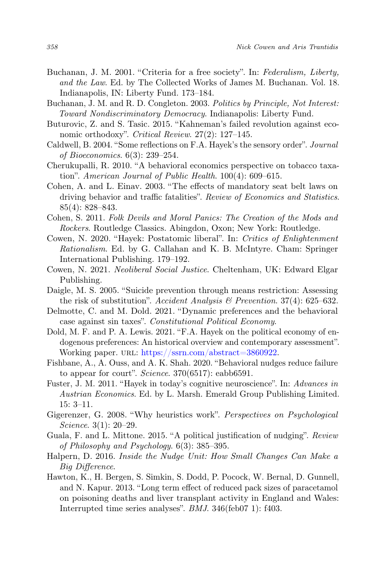- Buchanan, J. M. 2001. "Criteria for a free society". In: Federalism, Liberty, and the Law. Ed. by The Collected Works of James M. Buchanan. Vol. 18. Indianapolis, IN: Liberty Fund. 173–184.
- Buchanan, J. M. and R. D. Congleton. 2003. Politics by Principle, Not Interest: Toward Nondiscriminatory Democracy. Indianapolis: Liberty Fund.
- Buturovic, Z. and S. Tasic. 2015. "Kahneman's failed revolution against economic orthodoxy". Critical Review. 27(2): 127–145.
- Caldwell, B. 2004. "Some reflections on F.A. Hayek's the sensory order". Journal of Bioeconomics. 6(3): 239–254.
- Cherukupalli, R. 2010. "A behavioral economics perspective on tobacco taxation". American Journal of Public Health. 100(4): 609–615.
- Cohen, A. and L. Einav. 2003. "The effects of mandatory seat belt laws on driving behavior and traffic fatalities". Review of Economics and Statistics. 85(4): 828–843.
- Cohen, S. 2011. Folk Devils and Moral Panics: The Creation of the Mods and Rockers. Routledge Classics. Abingdon, Oxon; New York: Routledge.
- Cowen, N. 2020. "Hayek: Postatomic liberal". In: Critics of Enlightenment Rationalism. Ed. by G. Callahan and K. B. McIntyre. Cham: Springer International Publishing. 179–192.
- Cowen, N. 2021. Neoliberal Social Justice. Cheltenham, UK: Edward Elgar Publishing.
- Daigle, M. S. 2005. "Suicide prevention through means restriction: Assessing the risk of substitution". Accident Analysis  $\mathcal B$  Prevention. 37(4): 625–632.
- Delmotte, C. and M. Dold. 2021. "Dynamic preferences and the behavioral case against sin taxes". Constitutional Political Economy.
- Dold, M. F. and P. A. Lewis. 2021. "F.A. Hayek on the political economy of endogenous preferences: An historical overview and contemporary assessment". Working paper. URL: [https://ssrn.com/abstract=3860922.](https://ssrn.com/abstract=3860922)
- Fishbane, A., A. Ouss, and A. K. Shah. 2020. "Behavioral nudges reduce failure to appear for court". Science. 370(6517): eabb6591.
- Fuster, J. M. 2011. "Hayek in today's cognitive neuroscience". In: Advances in Austrian Economics. Ed. by L. Marsh. Emerald Group Publishing Limited. 15: 3–11.
- Gigerenzer, G. 2008. "Why heuristics work". Perspectives on Psychological Science. 3(1): 20–29.
- Guala, F. and L. Mittone. 2015. "A political justification of nudging". Review of Philosophy and Psychology. 6(3): 385–395.
- Halpern, D. 2016. Inside the Nudge Unit: How Small Changes Can Make a Big Difference.
- Hawton, K., H. Bergen, S. Simkin, S. Dodd, P. Pocock, W. Bernal, D. Gunnell, and N. Kapur. 2013. "Long term effect of reduced pack sizes of paracetamol on poisoning deaths and liver transplant activity in England and Wales: Interrupted time series analyses". BMJ. 346(feb07 1): f403.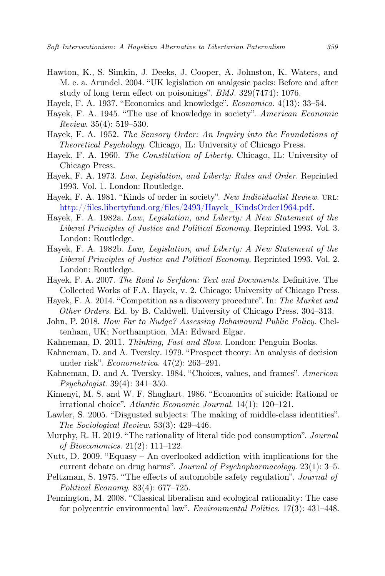- Hawton, K., S. Simkin, J. Deeks, J. Cooper, A. Johnston, K. Waters, and M. e. a. Arundel. 2004. "UK legislation on analgesic packs: Before and after study of long term effect on poisonings". BMJ. 329(7474): 1076.
- Hayek, F. A. 1937. "Economics and knowledge". Economica. 4(13): 33–54.
- Hayek, F. A. 1945. "The use of knowledge in society". American Economic Review. 35(4): 519–530.
- Hayek, F. A. 1952. The Sensory Order: An Inquiry into the Foundations of Theoretical Psychology. Chicago, IL: University of Chicago Press.
- Hayek, F. A. 1960. The Constitution of Liberty. Chicago, IL: University of Chicago Press.
- Hayek, F. A. 1973. Law, Legislation, and Liberty: Rules and Order. Reprinted 1993. Vol. 1. London: Routledge.
- Hayek, F. A. 1981. "Kinds of order in society". New Individualist Review. URL: [http://files.libertyfund.org/files/2493/Hayek\\_KindsOrder1964.pdf.](http://files.libertyfund.org/files/2493/Hayek_KindsOrder1964.pdf)
- Hayek, F. A. 1982a. Law, Legislation, and Liberty: A New Statement of the Liberal Principles of Justice and Political Economy. Reprinted 1993. Vol. 3. London: Routledge.
- Hayek, F. A. 1982b. Law, Legislation, and Liberty: A New Statement of the Liberal Principles of Justice and Political Economy. Reprinted 1993. Vol. 2. London: Routledge.
- Hayek, F. A. 2007. The Road to Serfdom: Text and Documents. Definitive. The Collected Works of F.A. Hayek, v. 2. Chicago: University of Chicago Press.
- Hayek, F. A. 2014. "Competition as a discovery procedure". In: The Market and Other Orders. Ed. by B. Caldwell. University of Chicago Press. 304–313.
- John, P. 2018. How Far to Nudge? Assessing Behavioural Public Policy. Cheltenham, UK; Northamption, MA: Edward Elgar.
- Kahneman, D. 2011. Thinking, Fast and Slow. London: Penguin Books.
- Kahneman, D. and A. Tversky. 1979. "Prospect theory: An analysis of decision under risk". Econometrica. 47(2): 263–291.
- Kahneman, D. and A. Tversky. 1984. "Choices, values, and frames". American Psychologist. 39(4): 341–350.
- Kimenyi, M. S. and W. F. Shughart. 1986. "Economics of suicide: Rational or irrational choice". Atlantic Economic Journal. 14(1): 120–121.
- Lawler, S. 2005. "Disgusted subjects: The making of middle-class identities". The Sociological Review. 53(3): 429–446.
- Murphy, R. H. 2019. "The rationality of literal tide pod consumption". Journal of Bioeconomics. 21(2): 111–122.
- Nutt, D. 2009. "Equasy An overlooked addiction with implications for the current debate on drug harms". Journal of Psychopharmacology. 23(1): 3–5.
- Peltzman, S. 1975. "The effects of automobile safety regulation". Journal of Political Economy. 83(4): 677–725.
- Pennington, M. 2008. "Classical liberalism and ecological rationality: The case for polycentric environmental law". Environmental Politics. 17(3): 431–448.